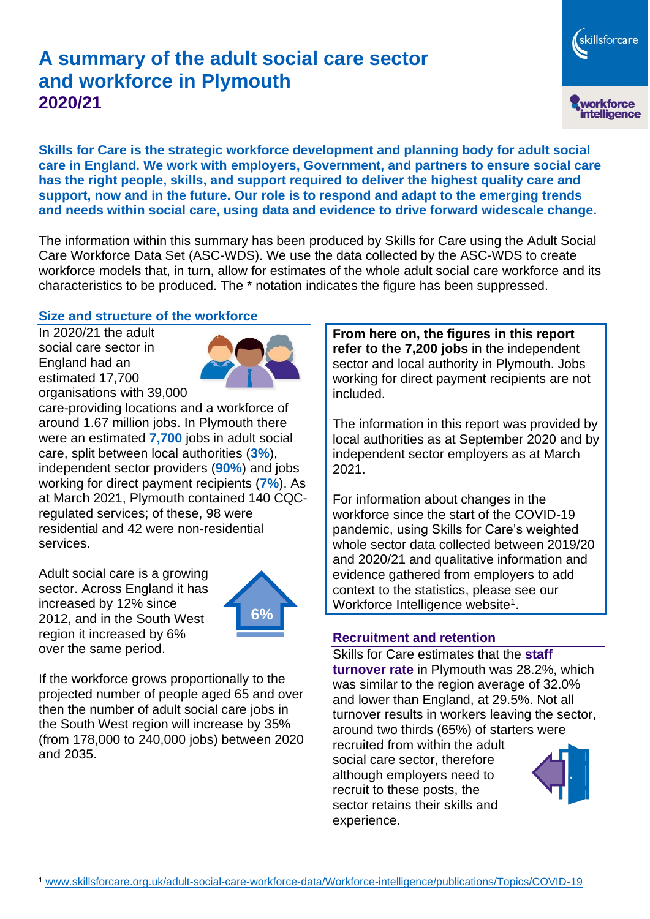# **A summary of the adult social care sector and workforce in Plymouth 2020/21**

**Skills for Care is the strategic workforce development and planning body for adult social care in England. We work with employers, Government, and partners to ensure social care has the right people, skills, and support required to deliver the highest quality care and support, now and in the future. Our role is to respond and adapt to the emerging trends and needs within social care, using data and evidence to drive forward widescale change.**

The information within this summary has been produced by Skills for Care using the Adult Social Care Workforce Data Set (ASC-WDS). We use the data collected by the ASC-WDS to create workforce models that, in turn, allow for estimates of the whole adult social care workforce and its characteristics to be produced. The \* notation indicates the figure has been suppressed.

#### **Size and structure of the workforce**

In 2020/21 the adult social care sector in England had an estimated 17,700 organisations with 39,000



care-providing locations and a workforce of around 1.67 million jobs. In Plymouth there were an estimated **7,700** jobs in adult social care, split between local authorities (**3%**), independent sector providers (**90%**) and jobs working for direct payment recipients (**7%**). As at March 2021, Plymouth contained 140 CQCregulated services; of these, 98 were residential and 42 were non-residential services.

Adult social care is a growing sector. Across England it has increased by 12% since 2012, and in the South West region it increased by 6% over the same period.



If the workforce grows proportionally to the projected number of people aged 65 and over then the number of adult social care jobs in the South West region will increase by 35% (from 178,000 to 240,000 jobs) between 2020 and 2035.

**From here on, the figures in this report refer to the 7,200 jobs** in the independent sector and local authority in Plymouth. Jobs working for direct payment recipients are not included.

skillsforcare

workforce<br>intelligence

The information in this report was provided by local authorities as at September 2020 and by independent sector employers as at March 2021.

For information about changes in the workforce since the start of the COVID-19 pandemic, using Skills for Care's weighted whole sector data collected between 2019/20 and 2020/21 and qualitative information and evidence gathered from employers to add context to the statistics, please see our Workforce Intelligence website<sup>1</sup>.

#### **Recruitment and retention**

Skills for Care estimates that the **staff turnover rate** in Plymouth was 28.2%, which was similar to the region average of 32.0% and lower than England, at 29.5%. Not all turnover results in workers leaving the sector, around two thirds (65%) of starters were recruited from within the adult social care sector, therefore although employers need to recruit to these posts, the sector retains their skills and experience.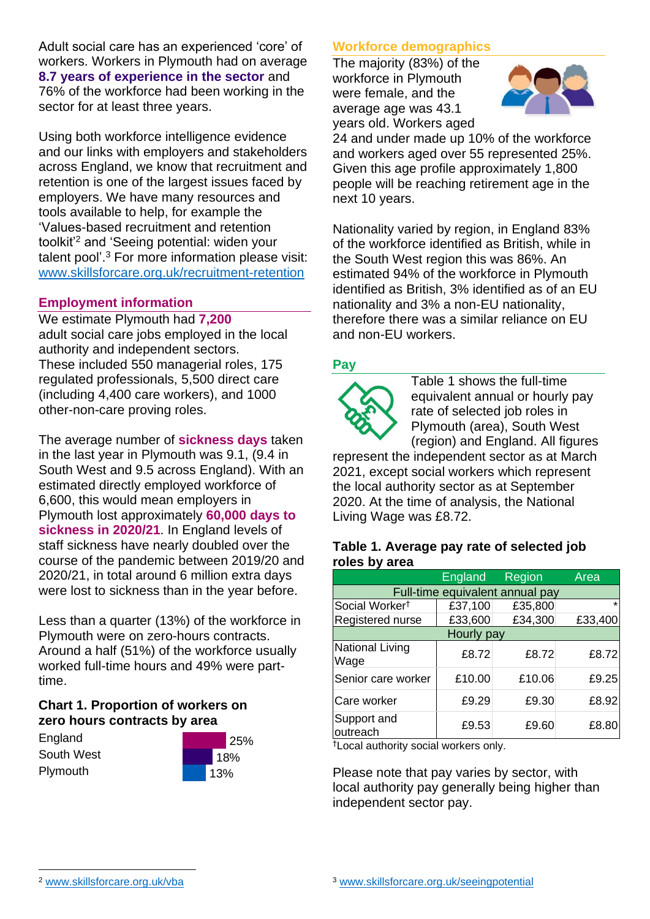Adult social care has an experienced 'core' of workers. Workers in Plymouth had on average **8.7 years of experience in the sector** and 76% of the workforce had been working in the sector for at least three years.

Using both workforce intelligence evidence and our links with employers and stakeholders across England, we know that recruitment and retention is one of the largest issues faced by employers. We have many resources and tools available to help, for example the 'Values-based recruitment and retention toolkit'<sup>2</sup> and 'Seeing potential: widen your talent pool'. <sup>3</sup> For more information please visit: [www.skillsforcare.org.uk/recruitment-retention](http://www.skillsforcare.org.uk/recruitment-retention)

### **Employment information**

We estimate Plymouth had **7,200** adult social care jobs employed in the local authority and independent sectors. These included 550 managerial roles, 175 regulated professionals, 5,500 direct care (including 4,400 care workers), and 1000 other-non-care proving roles.

The average number of **sickness days** taken in the last year in Plymouth was 9.1, (9.4 in South West and 9.5 across England). With an estimated directly employed workforce of 6,600, this would mean employers in Plymouth lost approximately **60,000 days to sickness in 2020/21**. In England levels of staff sickness have nearly doubled over the course of the pandemic between 2019/20 and 2020/21, in total around 6 million extra days were lost to sickness than in the year before.

Less than a quarter (13%) of the workforce in Plymouth were on zero-hours contracts. Around a half (51%) of the workforce usually worked full-time hours and 49% were parttime.

### **Chart 1. Proportion of workers on zero hours contracts by area**

**England** South West **Plymouth** 



### **Workforce demographics**

The majority (83%) of the workforce in Plymouth were female, and the average age was 43.1 years old. Workers aged



24 and under made up 10% of the workforce and workers aged over 55 represented 25%. Given this age profile approximately 1,800 people will be reaching retirement age in the next 10 years.

Nationality varied by region, in England 83% of the workforce identified as British, while in the South West region this was 86%. An estimated 94% of the workforce in Plymouth identified as British, 3% identified as of an EU nationality and 3% a non-EU nationality, therefore there was a similar reliance on EU and non-EU workers.

### **Pay**



Table 1 shows the full-time equivalent annual or hourly pay rate of selected job roles in Plymouth (area), South West (region) and England. All figures

represent the independent sector as at March 2021, except social workers which represent the local authority sector as at September 2020. At the time of analysis, the National Living Wage was £8.72.

#### **Table 1. Average pay rate of selected job roles by area**

|                                 | England | Region  | Area    |
|---------------------------------|---------|---------|---------|
| Full-time equivalent annual pay |         |         |         |
| Social Worker <sup>t</sup>      | £37,100 | £35,800 | $\star$ |
| Registered nurse                | £33,600 | £34,300 | £33,400 |
| Hourly pay                      |         |         |         |
| National Living<br>Wage         | £8.72   | £8.72   | £8.72   |
| Senior care worker              | £10.00  | £10.06  | £9.25   |
| Care worker                     | £9.29   | £9.30   | £8.92   |
| Support and<br>outreach         | £9.53   | £9.60   | £8.80   |

†Local authority social workers only.

Please note that pay varies by sector, with local authority pay generally being higher than independent sector pay.